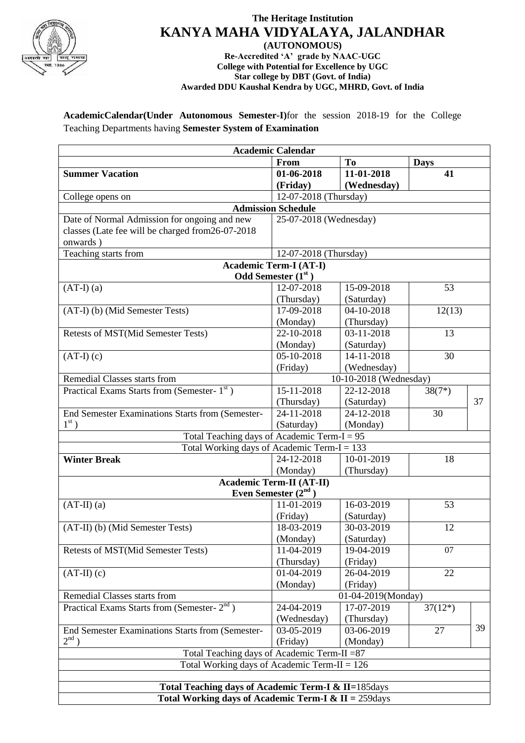

## **The Heritage Institution KANYA MAHA VIDYALAYA, JALANDHAR**

**(AUTONOMOUS) Re-Accredited 'A' grade by NAAC-UGC College with Potential for Excellence by UGC Star college by DBT (Govt. of India) Awarded DDU Kaushal Kendra by UGC, MHRD, Govt. of India**

**AcademicCalendar(Under Autonomous Semester-I)**for the session 2018-19 for the College Teaching Departments having **Semester System of Examination**

| <b>Academic Calendar</b>                                       |                        |                    |             |    |  |  |
|----------------------------------------------------------------|------------------------|--------------------|-------------|----|--|--|
|                                                                | From                   | T <sub>o</sub>     | <b>Days</b> |    |  |  |
| <b>Summer Vacation</b>                                         | 01-06-2018             | 11-01-2018         | 41          |    |  |  |
|                                                                | (Friday)               | (Wednesday)        |             |    |  |  |
| College opens on                                               | 12-07-2018 (Thursday)  |                    |             |    |  |  |
| <b>Admission Schedule</b>                                      |                        |                    |             |    |  |  |
| Date of Normal Admission for ongoing and new                   | 25-07-2018 (Wednesday) |                    |             |    |  |  |
| classes (Late fee will be charged from 26-07-2018              |                        |                    |             |    |  |  |
| onwards)                                                       |                        |                    |             |    |  |  |
| Teaching starts from                                           | 12-07-2018 (Thursday)  |                    |             |    |  |  |
| <b>Academic Term-I (AT-I)</b>                                  |                        |                    |             |    |  |  |
| <b>Odd Semester</b> $(1st)$                                    |                        |                    |             |    |  |  |
| $(AT-I)$ $(a)$                                                 | 12-07-2018             | 15-09-2018         | 53          |    |  |  |
|                                                                | (Thursday)             | (Saturday)         |             |    |  |  |
| (AT-I) (b) (Mid Semester Tests)                                | 17-09-2018             | 04-10-2018         | 12(13)      |    |  |  |
|                                                                | (Monday)               | (Thursday)         |             |    |  |  |
| Retests of MST(Mid Semester Tests)                             | $22 - 10 - 2018$       | 03-11-2018         | 13          |    |  |  |
|                                                                | (Monday)               | (Saturday)         |             |    |  |  |
| $(AT-I)$ $(c)$                                                 | 05-10-2018             | 14-11-2018         | 30          |    |  |  |
|                                                                | (Friday)               | (Wednesday)        |             |    |  |  |
| Remedial Classes starts from                                   | 10-10-2018 (Wednesday) |                    |             |    |  |  |
| Practical Exams Starts from (Semester- 1st)                    | 15-11-2018             | 22-12-2018         | $38(7*)$    |    |  |  |
|                                                                | (Thursday)             | (Saturday)         |             | 37 |  |  |
| End Semester Examinations Starts from (Semester-               | 24-11-2018             | 24-12-2018         | 30          |    |  |  |
| $1^{\rm st}$ )                                                 | (Saturday)             | (Monday)           |             |    |  |  |
| Total Teaching days of Academic Term- $I = 95$                 |                        |                    |             |    |  |  |
| Total Working days of Academic Term-I = $133$                  |                        |                    |             |    |  |  |
| <b>Winter Break</b>                                            | 24-12-2018             | 10-01-2019         | 18          |    |  |  |
|                                                                | (Monday)               | (Thursday)         |             |    |  |  |
| <b>Academic Term-II (AT-II)</b>                                |                        |                    |             |    |  |  |
| Even Semester $(2nd)$                                          |                        |                    |             |    |  |  |
| $(AT-II)$ $(a)$                                                | 11-01-2019             | 16-03-2019         | 53          |    |  |  |
|                                                                | (Friday)               | (Saturday)         |             |    |  |  |
| (AT-II) (b) (Mid Semester Tests)                               | 18-03-2019             | 30-03-2019         | 12          |    |  |  |
|                                                                | (Monday)               | (Saturday)         |             |    |  |  |
| <b>Retests of MST(Mid Semester Tests)</b>                      | 11-04-2019             | 19-04-2019         | 07          |    |  |  |
|                                                                | (Thursday)             | (Friday)           |             |    |  |  |
| $(AT-II)$ $(c)$                                                | 01-04-2019             | 26-04-2019         | 22          |    |  |  |
|                                                                | (Monday)               | (Friday)           |             |    |  |  |
| Remedial Classes starts from                                   |                        | 01-04-2019(Monday) |             |    |  |  |
| Practical Exams Starts from (Semester-2 <sup>nd</sup> )        | 24-04-2019             | 17-07-2019         | $37(12*)$   |    |  |  |
|                                                                | (Wednesday)            | (Thursday)         |             |    |  |  |
| End Semester Examinations Starts from (Semester-               | 03-05-2019             | 03-06-2019         | 27          | 39 |  |  |
| $2^{nd}$ )                                                     | (Friday)               | (Monday)           |             |    |  |  |
| Total Teaching days of Academic Term-II = 87                   |                        |                    |             |    |  |  |
| Total Working days of Academic Term-II = $126$                 |                        |                    |             |    |  |  |
|                                                                |                        |                    |             |    |  |  |
| Total Teaching days of Academic Term-I & II=185days            |                        |                    |             |    |  |  |
| Total Working days of Academic Term-I & II = $259 \text{days}$ |                        |                    |             |    |  |  |